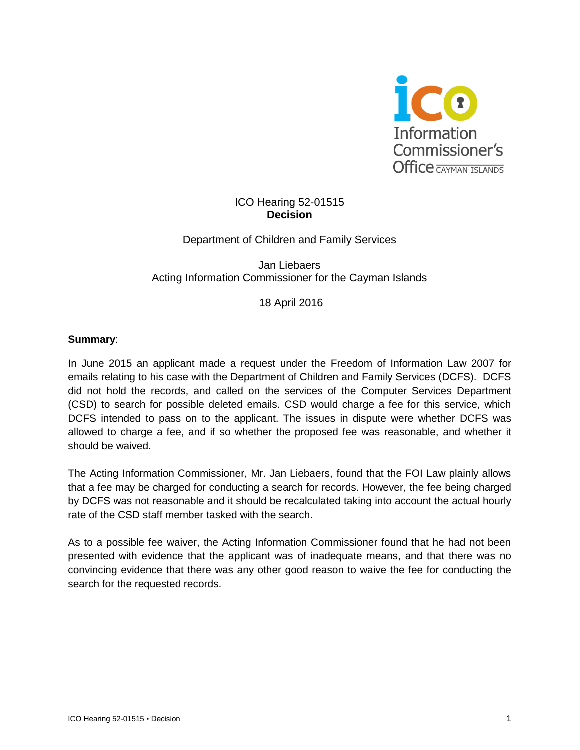

#### ICO Hearing 52-01515 **Decision**

Department of Children and Family Services

Jan Liebaers Acting Information Commissioner for the Cayman Islands

18 April 2016

## **Summary**:

In June 2015 an applicant made a request under the Freedom of Information Law 2007 for emails relating to his case with the Department of Children and Family Services (DCFS). DCFS did not hold the records, and called on the services of the Computer Services Department (CSD) to search for possible deleted emails. CSD would charge a fee for this service, which DCFS intended to pass on to the applicant. The issues in dispute were whether DCFS was allowed to charge a fee, and if so whether the proposed fee was reasonable, and whether it should be waived.

The Acting Information Commissioner, Mr. Jan Liebaers, found that the FOI Law plainly allows that a fee may be charged for conducting a search for records. However, the fee being charged by DCFS was not reasonable and it should be recalculated taking into account the actual hourly rate of the CSD staff member tasked with the search.

As to a possible fee waiver, the Acting Information Commissioner found that he had not been presented with evidence that the applicant was of inadequate means, and that there was no convincing evidence that there was any other good reason to waive the fee for conducting the search for the requested records.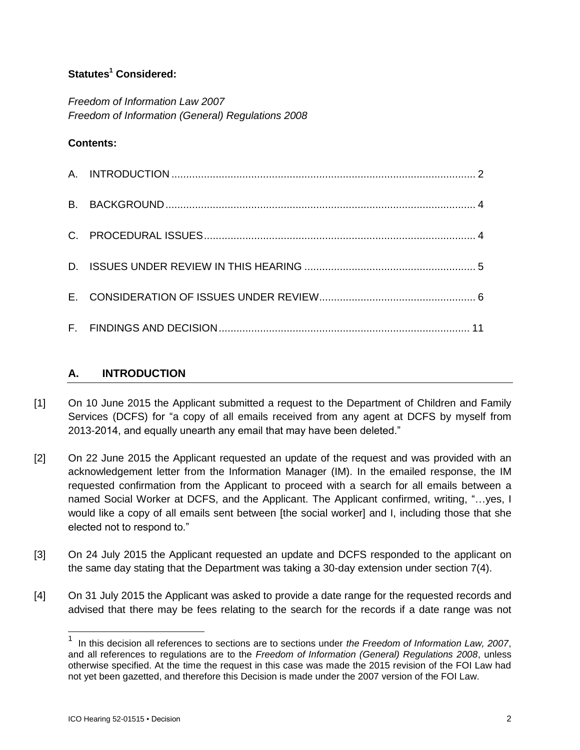# **Statutes<sup>1</sup> Considered:**

*Freedom of Information Law 2007 Freedom of Information (General) Regulations 2008*

## **Contents:**

# **A. INTRODUCTION**

- [1] On 10 June 2015 the Applicant submitted a request to the Department of Children and Family Services (DCFS) for "a copy of all emails received from any agent at DCFS by myself from 2013-2014, and equally unearth any email that may have been deleted."
- [2] On 22 June 2015 the Applicant requested an update of the request and was provided with an acknowledgement letter from the Information Manager (IM). In the emailed response, the IM requested confirmation from the Applicant to proceed with a search for all emails between a named Social Worker at DCFS, and the Applicant. The Applicant confirmed, writing, "…yes, I would like a copy of all emails sent between [the social worker] and I, including those that she elected not to respond to."
- [3] On 24 July 2015 the Applicant requested an update and DCFS responded to the applicant on the same day stating that the Department was taking a 30-day extension under section 7(4).
- [4] On 31 July 2015 the Applicant was asked to provide a date range for the requested records and advised that there may be fees relating to the search for the records if a date range was not

l

<sup>1</sup> In this decision all references to sections are to sections under *the Freedom of Information Law, 2007*, and all references to regulations are to the *Freedom of Information (General) Regulations 2008*, unless otherwise specified. At the time the request in this case was made the 2015 revision of the FOI Law had not yet been gazetted, and therefore this Decision is made under the 2007 version of the FOI Law.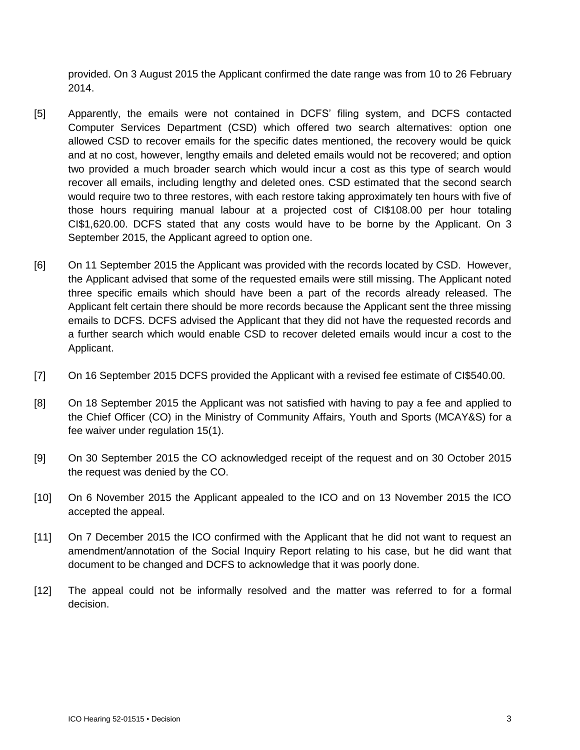provided. On 3 August 2015 the Applicant confirmed the date range was from 10 to 26 February 2014.

- [5] Apparently, the emails were not contained in DCFS' filing system, and DCFS contacted Computer Services Department (CSD) which offered two search alternatives: option one allowed CSD to recover emails for the specific dates mentioned, the recovery would be quick and at no cost, however, lengthy emails and deleted emails would not be recovered; and option two provided a much broader search which would incur a cost as this type of search would recover all emails, including lengthy and deleted ones. CSD estimated that the second search would require two to three restores, with each restore taking approximately ten hours with five of those hours requiring manual labour at a projected cost of CI\$108.00 per hour totaling CI\$1,620.00. DCFS stated that any costs would have to be borne by the Applicant. On 3 September 2015, the Applicant agreed to option one.
- [6] On 11 September 2015 the Applicant was provided with the records located by CSD. However, the Applicant advised that some of the requested emails were still missing. The Applicant noted three specific emails which should have been a part of the records already released. The Applicant felt certain there should be more records because the Applicant sent the three missing emails to DCFS. DCFS advised the Applicant that they did not have the requested records and a further search which would enable CSD to recover deleted emails would incur a cost to the Applicant.
- [7] On 16 September 2015 DCFS provided the Applicant with a revised fee estimate of CI\$540.00.
- [8] On 18 September 2015 the Applicant was not satisfied with having to pay a fee and applied to the Chief Officer (CO) in the Ministry of Community Affairs, Youth and Sports (MCAY&S) for a fee waiver under regulation 15(1).
- [9] On 30 September 2015 the CO acknowledged receipt of the request and on 30 October 2015 the request was denied by the CO.
- [10] On 6 November 2015 the Applicant appealed to the ICO and on 13 November 2015 the ICO accepted the appeal.
- [11] On 7 December 2015 the ICO confirmed with the Applicant that he did not want to request an amendment/annotation of the Social Inquiry Report relating to his case, but he did want that document to be changed and DCFS to acknowledge that it was poorly done.
- [12] The appeal could not be informally resolved and the matter was referred to for a formal decision.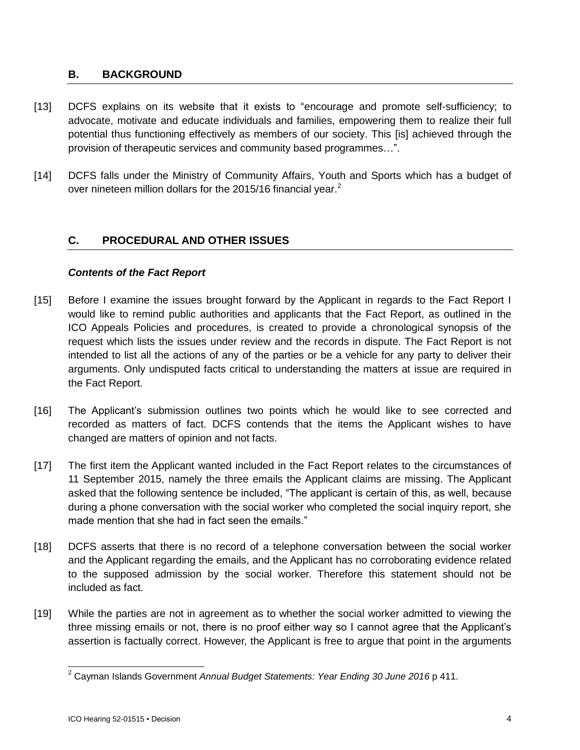## **B. BACKGROUND**

- [13] DCFS explains on its website that it exists to "encourage and promote self-sufficiency; to advocate, motivate and educate individuals and families, empowering them to realize their full potential thus functioning effectively as members of our society. This [is] achieved through the provision of therapeutic services and community based programmes…".
- [14] DCFS falls under the Ministry of Community Affairs, Youth and Sports which has a budget of over nineteen million dollars for the 2015/16 financial year.<sup>2</sup>

# **C. PROCEDURAL AND OTHER ISSUES**

## *Contents of the Fact Report*

- [15] Before I examine the issues brought forward by the Applicant in regards to the Fact Report I would like to remind public authorities and applicants that the Fact Report, as outlined in the ICO Appeals Policies and procedures, is created to provide a chronological synopsis of the request which lists the issues under review and the records in dispute. The Fact Report is not intended to list all the actions of any of the parties or be a vehicle for any party to deliver their arguments. Only undisputed facts critical to understanding the matters at issue are required in the Fact Report.
- [16] The Applicant's submission outlines two points which he would like to see corrected and recorded as matters of fact. DCFS contends that the items the Applicant wishes to have changed are matters of opinion and not facts.
- [17] The first item the Applicant wanted included in the Fact Report relates to the circumstances of 11 September 2015, namely the three emails the Applicant claims are missing. The Applicant asked that the following sentence be included, "The applicant is certain of this, as well, because during a phone conversation with the social worker who completed the social inquiry report, she made mention that she had in fact seen the emails."
- [18] DCFS asserts that there is no record of a telephone conversation between the social worker and the Applicant regarding the emails, and the Applicant has no corroborating evidence related to the supposed admission by the social worker. Therefore this statement should not be included as fact.
- [19] While the parties are not in agreement as to whether the social worker admitted to viewing the three missing emails or not, there is no proof either way so I cannot agree that the Applicant's assertion is factually correct. However, the Applicant is free to argue that point in the arguments

 $\overline{a}$ <sup>2</sup> Cayman Islands Government *Annual Budget Statements: Year Ending 30 June 2016* p 411.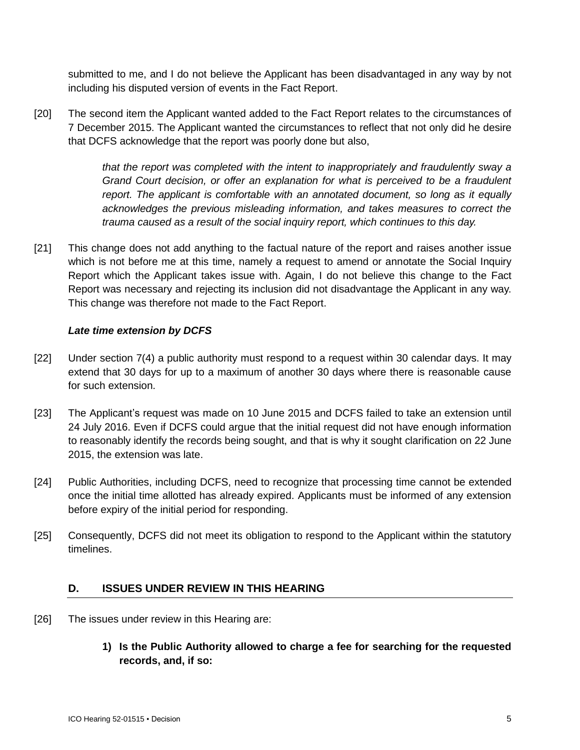submitted to me, and I do not believe the Applicant has been disadvantaged in any way by not including his disputed version of events in the Fact Report.

[20] The second item the Applicant wanted added to the Fact Report relates to the circumstances of 7 December 2015. The Applicant wanted the circumstances to reflect that not only did he desire that DCFS acknowledge that the report was poorly done but also,

> *that the report was completed with the intent to inappropriately and fraudulently sway a Grand Court decision, or offer an explanation for what is perceived to be a fraudulent report. The applicant is comfortable with an annotated document, so long as it equally acknowledges the previous misleading information, and takes measures to correct the trauma caused as a result of the social inquiry report, which continues to this day.*

[21] This change does not add anything to the factual nature of the report and raises another issue which is not before me at this time, namely a request to amend or annotate the Social Inquiry Report which the Applicant takes issue with. Again, I do not believe this change to the Fact Report was necessary and rejecting its inclusion did not disadvantage the Applicant in any way. This change was therefore not made to the Fact Report.

### *Late time extension by DCFS*

- [22] Under section 7(4) a public authority must respond to a request within 30 calendar days. It may extend that 30 days for up to a maximum of another 30 days where there is reasonable cause for such extension.
- [23] The Applicant's request was made on 10 June 2015 and DCFS failed to take an extension until 24 July 2016. Even if DCFS could argue that the initial request did not have enough information to reasonably identify the records being sought, and that is why it sought clarification on 22 June 2015, the extension was late.
- [24] Public Authorities, including DCFS, need to recognize that processing time cannot be extended once the initial time allotted has already expired. Applicants must be informed of any extension before expiry of the initial period for responding.
- [25] Consequently, DCFS did not meet its obligation to respond to the Applicant within the statutory timelines.

### **D. ISSUES UNDER REVIEW IN THIS HEARING**

- [26] The issues under review in this Hearing are:
	- **1) Is the Public Authority allowed to charge a fee for searching for the requested records, and, if so:**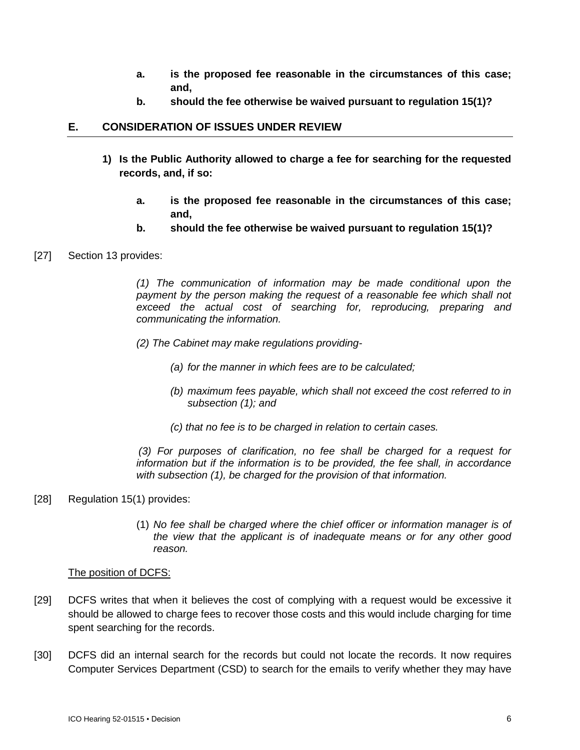- **a. is the proposed fee reasonable in the circumstances of this case; and,**
- **b. should the fee otherwise be waived pursuant to regulation 15(1)?**

## **E. CONSIDERATION OF ISSUES UNDER REVIEW**

- **1) Is the Public Authority allowed to charge a fee for searching for the requested records, and, if so:**
	- **a. is the proposed fee reasonable in the circumstances of this case; and,**
	- **b. should the fee otherwise be waived pursuant to regulation 15(1)?**
- [27] Section 13 provides:

*(1) The communication of information may be made conditional upon the*  payment by the person making the request of a reasonable fee which shall not *exceed the actual cost of searching for, reproducing, preparing and communicating the information.*

- *(2) The Cabinet may make regulations providing-*
	- *(a) for the manner in which fees are to be calculated;*
	- *(b) maximum fees payable, which shall not exceed the cost referred to in subsection (1); and*
	- *(c) that no fee is to be charged in relation to certain cases.*

*(3) For purposes of clarification, no fee shall be charged for a request for information but if the information is to be provided, the fee shall, in accordance with subsection (1), be charged for the provision of that information.*

### [28] Regulation 15(1) provides:

(1) *No fee shall be charged where the chief officer or information manager is of the view that the applicant is of inadequate means or for any other good reason.*

### The position of DCFS:

- [29] DCFS writes that when it believes the cost of complying with a request would be excessive it should be allowed to charge fees to recover those costs and this would include charging for time spent searching for the records.
- [30] DCFS did an internal search for the records but could not locate the records. It now requires Computer Services Department (CSD) to search for the emails to verify whether they may have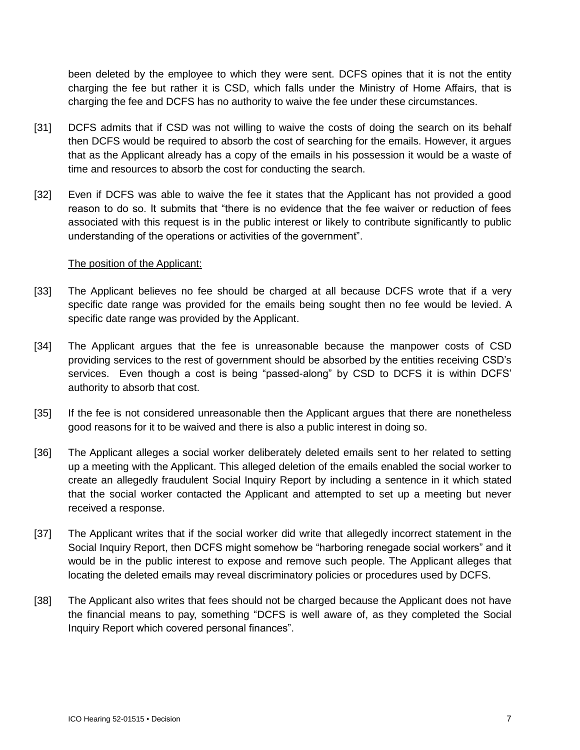been deleted by the employee to which they were sent. DCFS opines that it is not the entity charging the fee but rather it is CSD, which falls under the Ministry of Home Affairs, that is charging the fee and DCFS has no authority to waive the fee under these circumstances.

- [31] DCFS admits that if CSD was not willing to waive the costs of doing the search on its behalf then DCFS would be required to absorb the cost of searching for the emails. However, it argues that as the Applicant already has a copy of the emails in his possession it would be a waste of time and resources to absorb the cost for conducting the search.
- [32] Even if DCFS was able to waive the fee it states that the Applicant has not provided a good reason to do so. It submits that "there is no evidence that the fee waiver or reduction of fees associated with this request is in the public interest or likely to contribute significantly to public understanding of the operations or activities of the government".

#### The position of the Applicant:

- [33] The Applicant believes no fee should be charged at all because DCFS wrote that if a very specific date range was provided for the emails being sought then no fee would be levied. A specific date range was provided by the Applicant.
- [34] The Applicant argues that the fee is unreasonable because the manpower costs of CSD providing services to the rest of government should be absorbed by the entities receiving CSD's services. Even though a cost is being "passed-along" by CSD to DCFS it is within DCFS' authority to absorb that cost.
- [35] If the fee is not considered unreasonable then the Applicant argues that there are nonetheless good reasons for it to be waived and there is also a public interest in doing so.
- [36] The Applicant alleges a social worker deliberately deleted emails sent to her related to setting up a meeting with the Applicant. This alleged deletion of the emails enabled the social worker to create an allegedly fraudulent Social Inquiry Report by including a sentence in it which stated that the social worker contacted the Applicant and attempted to set up a meeting but never received a response.
- [37] The Applicant writes that if the social worker did write that allegedly incorrect statement in the Social Inquiry Report, then DCFS might somehow be "harboring renegade social workers" and it would be in the public interest to expose and remove such people. The Applicant alleges that locating the deleted emails may reveal discriminatory policies or procedures used by DCFS.
- [38] The Applicant also writes that fees should not be charged because the Applicant does not have the financial means to pay, something "DCFS is well aware of, as they completed the Social Inquiry Report which covered personal finances".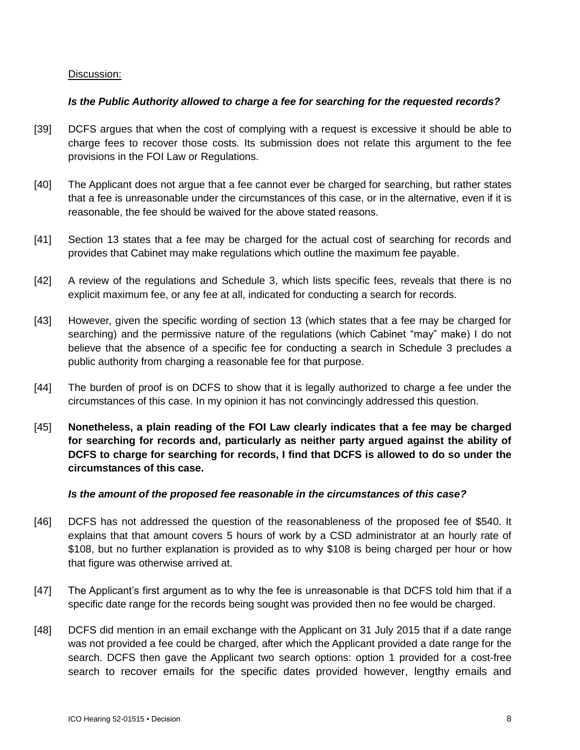### Discussion:

#### *Is the Public Authority allowed to charge a fee for searching for the requested records?*

- [39] DCFS argues that when the cost of complying with a request is excessive it should be able to charge fees to recover those costs. Its submission does not relate this argument to the fee provisions in the FOI Law or Regulations.
- [40] The Applicant does not argue that a fee cannot ever be charged for searching, but rather states that a fee is unreasonable under the circumstances of this case, or in the alternative, even if it is reasonable, the fee should be waived for the above stated reasons.
- [41] Section 13 states that a fee may be charged for the actual cost of searching for records and provides that Cabinet may make regulations which outline the maximum fee payable.
- [42] A review of the regulations and Schedule 3, which lists specific fees, reveals that there is no explicit maximum fee, or any fee at all, indicated for conducting a search for records.
- [43] However, given the specific wording of section 13 (which states that a fee may be charged for searching) and the permissive nature of the regulations (which Cabinet "may" make) I do not believe that the absence of a specific fee for conducting a search in Schedule 3 precludes a public authority from charging a reasonable fee for that purpose.
- [44] The burden of proof is on DCFS to show that it is legally authorized to charge a fee under the circumstances of this case. In my opinion it has not convincingly addressed this question.
- [45] **Nonetheless, a plain reading of the FOI Law clearly indicates that a fee may be charged for searching for records and, particularly as neither party argued against the ability of DCFS to charge for searching for records, I find that DCFS is allowed to do so under the circumstances of this case.**

#### *Is the amount of the proposed fee reasonable in the circumstances of this case?*

- [46] DCFS has not addressed the question of the reasonableness of the proposed fee of \$540. It explains that that amount covers 5 hours of work by a CSD administrator at an hourly rate of \$108, but no further explanation is provided as to why \$108 is being charged per hour or how that figure was otherwise arrived at.
- [47] The Applicant's first argument as to why the fee is unreasonable is that DCFS told him that if a specific date range for the records being sought was provided then no fee would be charged.
- [48] DCFS did mention in an email exchange with the Applicant on 31 July 2015 that if a date range was not provided a fee could be charged, after which the Applicant provided a date range for the search. DCFS then gave the Applicant two search options: option 1 provided for a cost-free search to recover emails for the specific dates provided however, lengthy emails and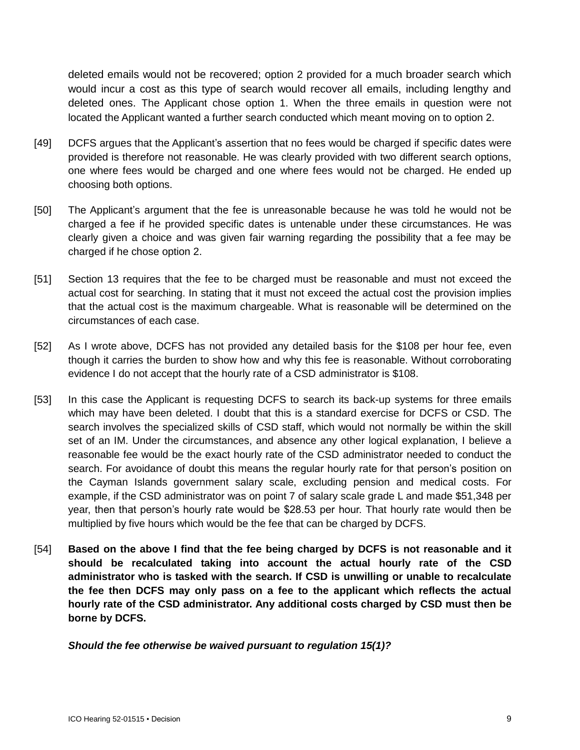deleted emails would not be recovered; option 2 provided for a much broader search which would incur a cost as this type of search would recover all emails, including lengthy and deleted ones. The Applicant chose option 1. When the three emails in question were not located the Applicant wanted a further search conducted which meant moving on to option 2.

- [49] DCFS argues that the Applicant's assertion that no fees would be charged if specific dates were provided is therefore not reasonable. He was clearly provided with two different search options, one where fees would be charged and one where fees would not be charged. He ended up choosing both options.
- [50] The Applicant's argument that the fee is unreasonable because he was told he would not be charged a fee if he provided specific dates is untenable under these circumstances. He was clearly given a choice and was given fair warning regarding the possibility that a fee may be charged if he chose option 2.
- [51] Section 13 requires that the fee to be charged must be reasonable and must not exceed the actual cost for searching. In stating that it must not exceed the actual cost the provision implies that the actual cost is the maximum chargeable. What is reasonable will be determined on the circumstances of each case.
- [52] As I wrote above, DCFS has not provided any detailed basis for the \$108 per hour fee, even though it carries the burden to show how and why this fee is reasonable. Without corroborating evidence I do not accept that the hourly rate of a CSD administrator is \$108.
- [53] In this case the Applicant is requesting DCFS to search its back-up systems for three emails which may have been deleted. I doubt that this is a standard exercise for DCFS or CSD. The search involves the specialized skills of CSD staff, which would not normally be within the skill set of an IM. Under the circumstances, and absence any other logical explanation, I believe a reasonable fee would be the exact hourly rate of the CSD administrator needed to conduct the search. For avoidance of doubt this means the regular hourly rate for that person's position on the Cayman Islands government salary scale, excluding pension and medical costs. For example, if the CSD administrator was on point 7 of salary scale grade L and made \$51,348 per year, then that person's hourly rate would be \$28.53 per hour. That hourly rate would then be multiplied by five hours which would be the fee that can be charged by DCFS.
- [54] **Based on the above I find that the fee being charged by DCFS is not reasonable and it should be recalculated taking into account the actual hourly rate of the CSD administrator who is tasked with the search. If CSD is unwilling or unable to recalculate the fee then DCFS may only pass on a fee to the applicant which reflects the actual hourly rate of the CSD administrator. Any additional costs charged by CSD must then be borne by DCFS.**

*Should the fee otherwise be waived pursuant to regulation 15(1)?*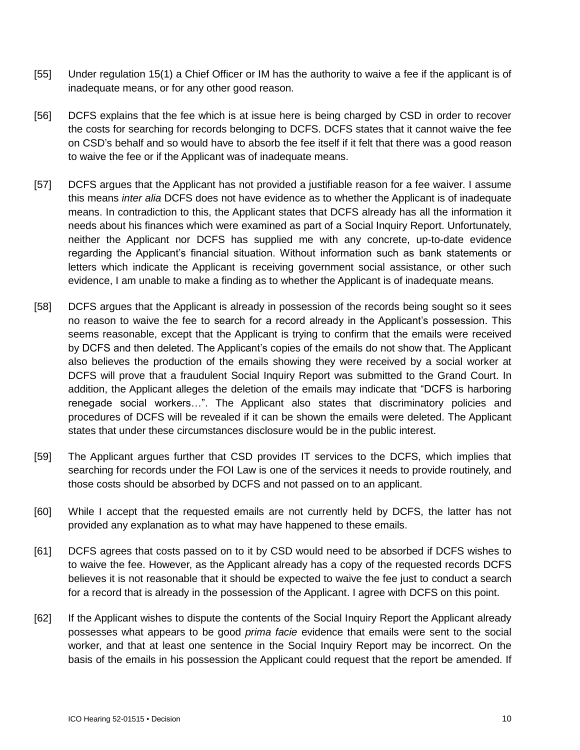- [55] Under regulation 15(1) a Chief Officer or IM has the authority to waive a fee if the applicant is of inadequate means, or for any other good reason.
- [56] DCFS explains that the fee which is at issue here is being charged by CSD in order to recover the costs for searching for records belonging to DCFS. DCFS states that it cannot waive the fee on CSD's behalf and so would have to absorb the fee itself if it felt that there was a good reason to waive the fee or if the Applicant was of inadequate means.
- [57] DCFS argues that the Applicant has not provided a justifiable reason for a fee waiver. I assume this means *inter alia* DCFS does not have evidence as to whether the Applicant is of inadequate means. In contradiction to this, the Applicant states that DCFS already has all the information it needs about his finances which were examined as part of a Social Inquiry Report. Unfortunately, neither the Applicant nor DCFS has supplied me with any concrete, up-to-date evidence regarding the Applicant's financial situation. Without information such as bank statements or letters which indicate the Applicant is receiving government social assistance, or other such evidence, I am unable to make a finding as to whether the Applicant is of inadequate means.
- [58] DCFS argues that the Applicant is already in possession of the records being sought so it sees no reason to waive the fee to search for a record already in the Applicant's possession. This seems reasonable, except that the Applicant is trying to confirm that the emails were received by DCFS and then deleted. The Applicant's copies of the emails do not show that. The Applicant also believes the production of the emails showing they were received by a social worker at DCFS will prove that a fraudulent Social Inquiry Report was submitted to the Grand Court. In addition, the Applicant alleges the deletion of the emails may indicate that "DCFS is harboring renegade social workers…". The Applicant also states that discriminatory policies and procedures of DCFS will be revealed if it can be shown the emails were deleted. The Applicant states that under these circumstances disclosure would be in the public interest.
- [59] The Applicant argues further that CSD provides IT services to the DCFS, which implies that searching for records under the FOI Law is one of the services it needs to provide routinely, and those costs should be absorbed by DCFS and not passed on to an applicant.
- [60] While I accept that the requested emails are not currently held by DCFS, the latter has not provided any explanation as to what may have happened to these emails.
- [61] DCFS agrees that costs passed on to it by CSD would need to be absorbed if DCFS wishes to to waive the fee. However, as the Applicant already has a copy of the requested records DCFS believes it is not reasonable that it should be expected to waive the fee just to conduct a search for a record that is already in the possession of the Applicant. I agree with DCFS on this point.
- [62] If the Applicant wishes to dispute the contents of the Social Inquiry Report the Applicant already possesses what appears to be good *prima facie* evidence that emails were sent to the social worker, and that at least one sentence in the Social Inquiry Report may be incorrect. On the basis of the emails in his possession the Applicant could request that the report be amended. If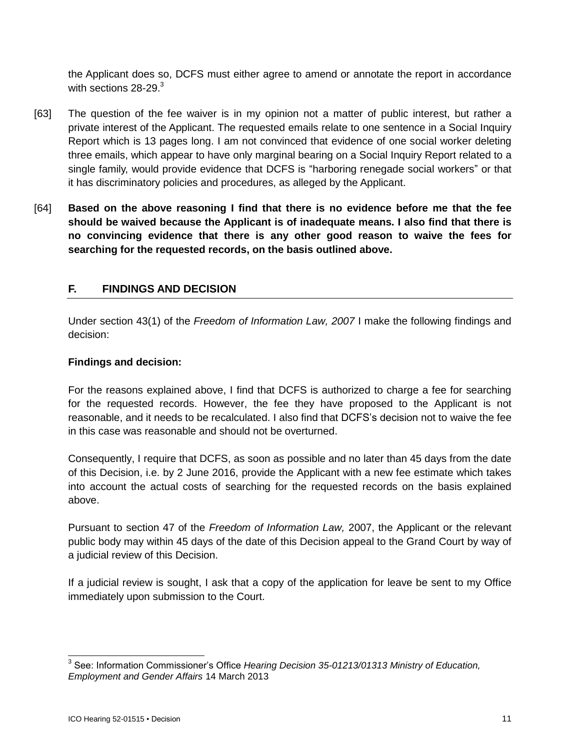the Applicant does so, DCFS must either agree to amend or annotate the report in accordance with sections 28-29.<sup>3</sup>

- [63] The question of the fee waiver is in my opinion not a matter of public interest, but rather a private interest of the Applicant. The requested emails relate to one sentence in a Social Inquiry Report which is 13 pages long. I am not convinced that evidence of one social worker deleting three emails, which appear to have only marginal bearing on a Social Inquiry Report related to a single family, would provide evidence that DCFS is "harboring renegade social workers" or that it has discriminatory policies and procedures, as alleged by the Applicant.
- [64] **Based on the above reasoning I find that there is no evidence before me that the fee should be waived because the Applicant is of inadequate means. I also find that there is no convincing evidence that there is any other good reason to waive the fees for searching for the requested records, on the basis outlined above.**

# **F. FINDINGS AND DECISION**

Under section 43(1) of the *Freedom of Information Law, 2007* I make the following findings and decision:

### **Findings and decision:**

For the reasons explained above, I find that DCFS is authorized to charge a fee for searching for the requested records. However, the fee they have proposed to the Applicant is not reasonable, and it needs to be recalculated. I also find that DCFS's decision not to waive the fee in this case was reasonable and should not be overturned.

Consequently, I require that DCFS, as soon as possible and no later than 45 days from the date of this Decision, i.e. by 2 June 2016, provide the Applicant with a new fee estimate which takes into account the actual costs of searching for the requested records on the basis explained above.

Pursuant to section 47 of the *Freedom of Information Law,* 2007, the Applicant or the relevant public body may within 45 days of the date of this Decision appeal to the Grand Court by way of a judicial review of this Decision.

If a judicial review is sought, I ask that a copy of the application for leave be sent to my Office immediately upon submission to the Court.

 3 See: Information Commissioner's Office *Hearing Decision 35-01213/01313 Ministry of Education, Employment and Gender Affairs* 14 March 2013